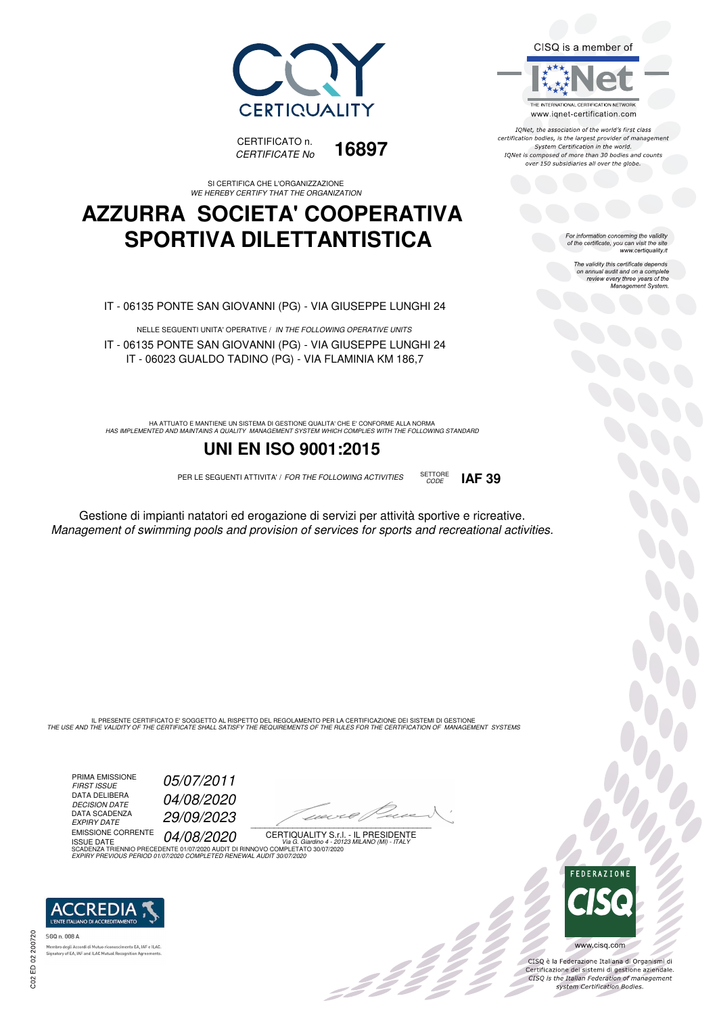



SI CERTIFICA CHE L'ORGANIZZAZIONE WE HEREBY CERTIFY THAT THE ORGANIZATION

## **AZZURRA SOCIETA' COOPERATIVA SPORTIVA DILETTANTISTICA**

IT - 06135 PONTE SAN GIOVANNI (PG) - VIA GIUSEPPE LUNGHI 24

NELLE SEGUENTI UNITA' OPERATIVE / IN THE FOLLOWING OPERATIVE UNITS IT - 06135 PONTE SAN GIOVANNI (PG) - VIA GIUSEPPE LUNGHI 24 IT - 06023 GUALDO TADINO (PG) - VIA FLAMINIA KM 186,7

HA ATTUATO E MANTIENE UN SISTEMA DI GESTIONE QUALITA' CHE E' CONFORME ALLA NORMA<br>HAS IMPLEMENTED AND MAINTAINS A QUALITY MANAGEMENT SYSTEM WHICH COMPLIES WITH THE FOLLOWING STANDARD

### **UNI EN ISO 9001:2015**

PER LE SEGUENTI ATTIVITA' / FOR THE FOLLOWING ACTIVITIES SETTORE

Gestione di impianti natatori ed erogazione di servizi per attività sportive e ricreative. Management of swimming pools and provision of services for sports and recreational activities.

IL PRESENTE CERTIFICATO E' SOGGETTO AL RISPETTO DEL REGOLAMENTO PER LA CERTIFICAZIONE DEI SISTEMI DI GESTIONE<br>THE USE AND THE VALIDITY OF THE CERTIFICATE SHALL SATISFY THE REQUIREMENTS OF THE RULES FOR THE CERTIFICATION OF

PRIMA EMISSIONE<br>FIRST ISSUE DATA DELIBERA DECISION DATE<br>DATA SCADENZA<br>EXPIRY DATE

05/07/2011 04/08/2020 EXPIRY DATE 29/09/2023

EMISSIONE CORRENTE **04/08/2020** 

1120×6/1  $\overline{\phantom{a}}$ 

:42<sup>2</sup>

CERTIQUALITY S.r.l. - IL PRESIDENTE ISSUE DATE<br>SCADENZA TRIENNIO PRECEDENTE 01/07/2020 AUDIT DI RINNOVO COMPLETATO 30/07/2020

EXPIRY PREVIOUS PERIOD 01/07/2020 COMPLETED RENEWAL AUDIT 30/07/2020



SGO n. 008 A tory of EA, IAF and ILAC Mutual Recognit CISQ is a member of

THE INTERNATIONAL CERTIFICATION NETWORK www.iqnet-certification.com

IONet, the association of the world's first class certification bodies, is the largest provider of management System Certification in the world. IQNet is composed of more than 30 bodies and counts over 150 subsidiaries all over the globe.

CODE **IAF 39**

For information concerning the validity<br>of the certificate, you can visit the site<br>www.certiquality.it

The validity this certificate depends on annual audit and on a complete review every three years of the Management System.



CISQ è la Federazione Italiana di Organismi di Certificazione dei sistemi di gestione aziendale.<br>CISQ is the Italian Federation of management system Certification Bodies.